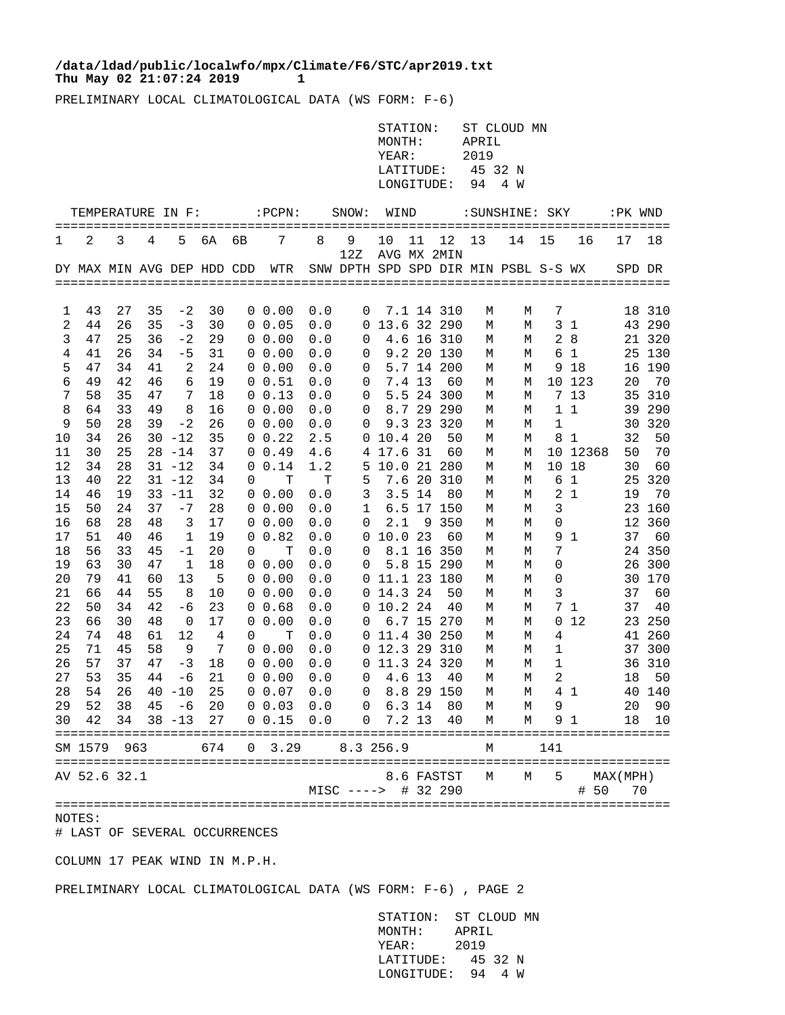## **Thu May 02 21:07:24 2019 1 /data/ldad/public/localwfo/mpx/Climate/F6/STC/apr2019.txt**

PRELIMINARY LOCAL CLIMATOLOGICAL DATA (WS FORM: F-6)

|                   | STATION: ST CLOUD MN |
|-------------------|----------------------|
| MONTH:            | APRIL                |
| YEAR:             | 2019                 |
| LATITUDE:         | 45 32 N              |
| LONGITUDE: 94 4 W |                      |

|                | TEMPERATURE IN F:          |          |          |           |          |               | $:$ PCPN:                  |            | SNOW:                                | WIND        |        |                          |        | :SUNSHINE: SKY |     |                | :PK WND   |            |
|----------------|----------------------------|----------|----------|-----------|----------|---------------|----------------------------|------------|--------------------------------------|-------------|--------|--------------------------|--------|----------------|-----|----------------|-----------|------------|
| 1              | 2                          | 3        | 4        | 5         | бA       | =======<br>6В | 7                          | 8          | 9<br>12Z                             | 10          | 11     | 12<br>AVG MX 2MIN        | 13     | 14             | 15  | 16             | 17        | 18         |
|                | DY MAX MIN AVG DEP HDD CDD |          |          |           |          |               | WTR                        |            | SNW DPTH SPD SPD DIR MIN PSBL S-S WX |             |        |                          |        |                |     |                | SPD DR    |            |
|                |                            |          |          |           |          |               |                            |            |                                      |             |        |                          |        |                |     |                |           |            |
|                |                            |          |          |           |          |               |                            |            |                                      |             |        |                          |        |                |     |                |           |            |
| 1              | 43                         | 27       | 35       | $-2$      | 30       |               | $0\;\;0.00$                | 0.0        | 0                                    |             |        | 7.1 14 310               | М      | М              | 7   |                |           | 18 310     |
| $\overline{2}$ | 44                         | 26       | 35       | $-3$      | 30       |               | 0 0.05                     | 0.0        | 0                                    |             |        | 13.6 32 290              | M      | M              |     | 3 <sub>1</sub> | 43        | 290        |
| 3              | 47                         | 25       | 36       | $-2$      | 29       |               | 0, 0.00                    | 0.0        | 0                                    |             |        | 4.6 16 310               | М      | М              |     | 28             | 21        | 320        |
| 4              | 41                         | 26       | 34       | -5        | 31       |               | $0\;\;0.00$                | 0.0        | 0                                    |             |        | 9.2 20 130               | М      | М              | 6   | 1              | 25        | 130        |
| 5              | 47                         | 34       | 41       | 2         | 24       |               | $0\;\;0.00$                | 0.0        | 0                                    |             |        | 5.7 14 200               | М      | М              | 9   | 18             | 16        | 190        |
| 6              | 49                         | 42       | 46       | 6         | 19       |               | 0 0.51                     | 0.0        | 0                                    |             | 7.4 13 | 60                       | М      | М              | 10  | 123            | 20        | 70         |
| 7<br>8         | 58<br>64                   | 35<br>33 | 47<br>49 | 7<br>8    | 18<br>16 |               | $0 \t 0.13$<br>$0\;\;0.00$ | 0.0        | 0                                    |             |        | 5.5 24 300<br>8.7 29 290 | М      | М              | 1   | 7 13<br>1      | 35<br>39  | 310<br>290 |
| 9              | 50                         | 28       | 39       | $-2$      | 26       |               | 0, 0.00                    | 0.0<br>0.0 | 0<br>0                               |             | 9.323  | 320                      | М      | М<br>М         | 1   |                | 30        | 320        |
| 10             | 34                         | 26       | 30       | $-12$     | 35       |               | $0 \t 0.22$                | 2.5        | O                                    | 10.420      |        | 50                       | М<br>М | М              | 8   | 1              | 32        | 50         |
| 11             | 30                         | 25       |          | $28 - 14$ | 37       |               | $0 \t0.49$                 | 4.6        | 4                                    | 17.6        | 31     | 60                       | М      | М              | 10  | 12368          | 50        | 70         |
| 12             | 34                         | 28       |          | $31 - 12$ | 34       | 0             | 0.14                       | 1.2        | 5                                    | 10.0 21 280 |        |                          | М      | М              | 10  | 18             | 30        | 60         |
| 13             | 40                         | 22       |          | $31 - 12$ | 34       | 0             | т                          | т          | 5                                    |             |        | 7.6 20 310               | М      | М              | 6   | $\mathbf{1}$   | 25        | 320        |
| 14             | 46                         | 19       |          | $33 - 11$ | 32       |               | $0\;\;0.00$                | 0.0        | 3                                    |             | 3.5 14 | 80                       | М      | М              | 2   | $\mathbf{1}$   | 19        | 70         |
| 15             | 50                         | 24       | 37       | $-7$      | 28       |               | $0\;\;0.00$                | 0.0        | 1                                    | 6.5         | 17     | 150                      | М      | М              | 3   |                | 23        | 160        |
| 16             | 68                         | 28       | 48       | 3         | 17       | 0             | 0.00                       | 0.0        | 0                                    | 2.1         | 9      | 350                      | М      | М              | 0   |                | 12        | 360        |
| 17             | 51                         | 40       | 46       | 1         | 19       | 0             | 0.82                       | 0.0        | 0                                    | 10.0 23     |        | 60                       | М      | М              | 9   | 1              | 37        | 60         |
| 18             | 56                         | 33       | 45       | $-1$      | 20       | 0             | T                          | 0.0        | 0                                    |             | 8.1 16 | 350                      | М      | М              | 7   |                | 24        | 350        |
| 19             | 63                         | 30       | 47       | 1         | 18       | 0             | 0.00                       | 0.0        | 0                                    |             |        | 5.8 15 290               | М      | M              | 0   |                | 26        | 300        |
| 20             | 79                         | 41       | 60       | 13        | 5        | 0             | 0.00                       | 0.0        | 0                                    | 11.1 23 180 |        |                          | М      | M              | 0   |                | 30        | 170        |
| 21             | 66                         | 44       | 55       | 8         | 10       |               | 0, 0.00                    | 0.0        | 0                                    | 14.3 24     |        | 50                       | М      | М              | 3   |                | 37        | 60         |
| 22             | 50                         | 34       | 42       | $-6$      | 23       | 0             | 0.68                       | 0.0        | 0                                    | 10.2 24     |        | 40                       | М      | М              | 7   | $\mathbf{1}$   | 37        | 40         |
| 23             | 66                         | 30       | 48       | 0         | 17       | 0             | 0.00                       | 0.0        | 0                                    |             | 6.715  | -270                     | М      | М              | 0   | 12             | 23        | 250        |
| 24             | 74                         | 48       | 61       | 12        | 4        | 0             | т                          | 0.0        | 0                                    | 11.4 30     |        | 250                      | М      | М              | 4   |                | 41        | 260        |
| 25             | 71                         | 45       | 58       | 9         | 7        | 0             | 0.00                       | 0.0        | 0                                    | 12.3 29     |        | 310                      | М      | М              | 1   |                | 37        | 300        |
| 26             | 57                         | 37       | 47       | $-3$      | 18       | 0             | 0.00                       | 0.0        | 0                                    | 11.3 24 320 |        |                          | М      | М              | 1   |                | 36        | 310        |
| 27             | 53                         | 35       | 44       | -6        | 21       | 0             | 0.00                       | 0.0        | 0                                    |             | 4.6 13 | 40                       | M      | M              | 2   |                | 18        | 50         |
| 28             | 54                         | 26       | 40       | $-10$     | 25       |               | $0\;\;0.07$                | 0.0        | 0                                    |             |        | 8.8 29 150               | М      | М              | 4   | - 1            | 40        | 140        |
| 29             | 52                         | 38       | 45       | -6        | 20       |               | $0\;\; 0.03$               | 0.0        | 0                                    |             | 6.3 14 | 80                       | M      | M              | 9   |                | 20        | 90         |
| 30             | 42                         | 34       | 38       | $-13$     | 27       |               | 0, 0.15                    | 0.0        | 0                                    |             | 7.2 13 | 40                       | M      | М              | 9   | 1              | 18        | 10         |
|                |                            |          |          |           |          |               |                            |            |                                      |             |        |                          |        |                |     |                |           |            |
|                | SM 1579                    | 963      |          |           | 674      | 0             | 3.29                       |            | 8.3 256.9                            |             |        |                          | М      |                | 141 |                |           |            |
|                | AV 52.6 32.1               |          |          |           |          |               |                            |            |                                      |             |        | 8.6 FASTST               | М      | М              | 5   |                | MAX (MPH) |            |
|                |                            |          |          |           |          |               |                            |            | $MISC$ ---->                         |             |        | # 32 290                 |        |                |     | 50<br>#        | 70        |            |
|                |                            |          |          |           |          |               |                            |            |                                      |             |        |                          |        |                |     |                |           |            |
| NOTES:         |                            |          |          |           |          |               |                            |            |                                      |             |        |                          |        |                |     |                |           |            |

# LAST OF SEVERAL OCCURRENCES

COLUMN 17 PEAK WIND IN M.P.H.

PRELIMINARY LOCAL CLIMATOLOGICAL DATA (WS FORM: F-6) , PAGE 2

 STATION: ST CLOUD MN MONTH: APRIL YEAR: 2019 LATITUDE: 45 32 N LONGITUDE: 94 4 W